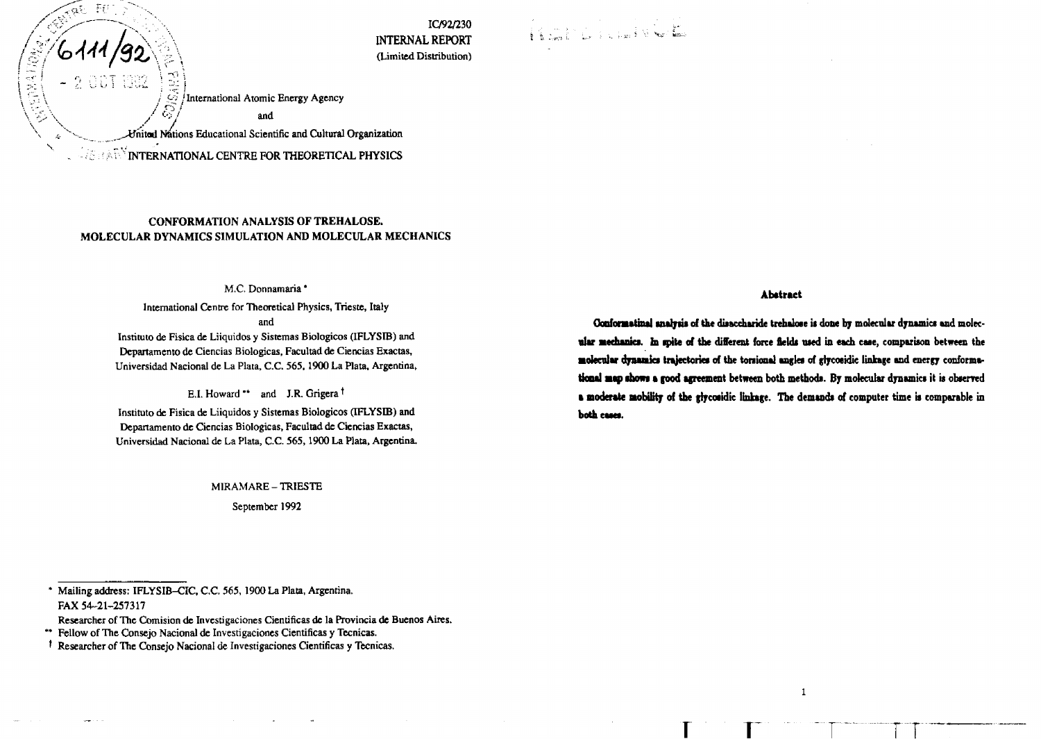**IC/92/230 INTERNAL REPORT** (limited Distribution)

Rail Lichel Vor

 $\mathcal{Z}/\mathbb{I}$  International Atomic Energy Agency and

United Nations Educational Scientific and Cultural Organization

INTERNATIONAL CENTRE FOR THEORETICAL **PHYSICS**

د المجمود المجمود المجمود المجمود المجمود المجمود المجمود المجمود المجمود المجمود المجمود المجمود المجمود<br>المجمود المجمود المجمود المجمود المجمود المجمود المجمود المجمود المجمود المجمود المجمود المجمود المجمود المجمو

**CONSTRUCTION** 

Εf

## **CONFORMATION ANALYSIS OF TREHALOSE. MOLECULAR DYNAMICS SIMULATION AND MOLECULAR MECHANICS**

#### M.C. Donnamaria \*

International Centre for Theoretical Physics, Trieste, Italy

and

Instituto de Fisica de Liiquidos y Sistemas Biologicos (IFLYSIB) and Departamento de Ciencias Biologicas, Facultad de Ciencias Exactas, Universidad Nacional de La Plata, C.C. 565,1900 La Plata, Argentina,

E.I. Howard \*\* and J.R. Grigera <sup>†</sup>

Instituto de Fisica de Liiquidos y Sistemas Biologicos (IFLYSIB) and Departamento de Ciencias Biologicas, Facultad de Ciencias Exactas, Universidad Nacional de La Plata, C.C. 565,1900 La Plata, Argentina.

M1RAMARE- TRIESTE

September 1992

\* Mailing address: IFLYSIB-CIC, *C.C.* 565, 1900 La Plata, Argentina. FAX 54-21-257317

Researcher of The Comision de Investigaciones Cientificas de la Provincia de Buenos Aires.

#### **Abstract**

**Conformatinal** analysis of the disaccharide trehakose is done by molecular dynamics and molecular mechanics. In spite of the different force fields used in each case, comparison between the **molecular dynamics trajectories of the tonionat angle\* of glycotidic linkage and energy conforma**tional map shows a good agreement between both methods. By molecular dynamics it is observed a moderate mobility of the glycosidic linkage. The demands of computer time is comparable in both cases.

**T T T T T T** 

 $\mathbf{1}$ 

<sup>\*\*</sup> Fellow of The Consejo Nacional de Investigaciones Cientificas y Tecnicas.

t Researcher of The Consejo Nacional de Investigaciones Cientificas y Tecnicas.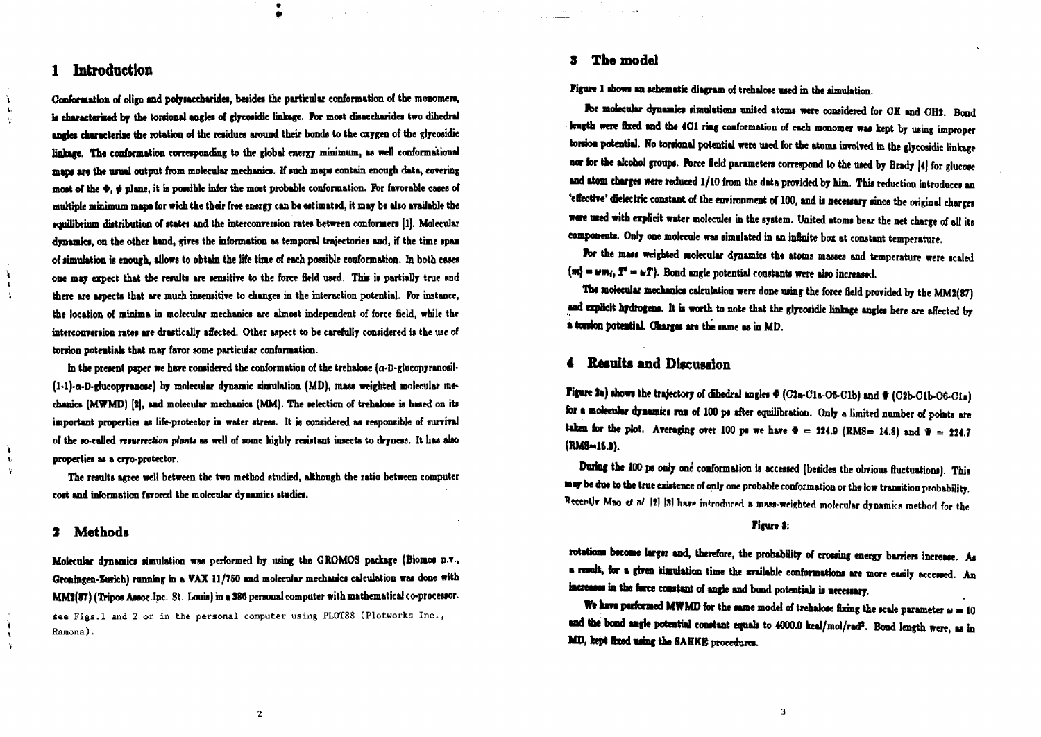# *1* **Introduction**

À.  $\mathbf{t}_i$ 

4  $\mathbf{r}$  $\mathbf{L}$ 

L.  $\mathbf{t}$ ÷,

ì  $\mathbf{t}$  **Conformation of oligo and polywccbarides, betides the particular conformation of the monomen,** is characterised by the torsional angles of glycosidic linkage. For most disaccharides two dihedral **ingles characterise the rotation of the residues around their bonds to the oxygen of the glyeosidic** linkage. The conformation corresponding to the global energy minimum, as well conformational maps are the usual output from molecular mechanics. If such maps contain enough data, covering **moat of the •,** *j* **plane, it b possible infer the moat probable conformation, Fbr favorable cases of multiple minimum maps Cor wich the their free energy can be estimated, it may be also available the equilibrium distribution of states and the interconversion rates between conformers (lj. Molecular dynamics, on the other hand, gives the information as temporal trajectories and, if the time span of simulation is enough, allows to obtain the life time of each possible conformation. In both ewes one may expect that the results are sensitive to the force field used. This is partially true and there are aspects that are much insensitive to changes in the interaction potential. Fbr instance, the location of minima in molecular mechanics are almost independent of force field, while the interconvenion rates are drastically affected. Other aspect to be carefully considered is the we of torsion potentials that may favor some particular conformation.**

**hi the present paper we have considered the conformation of the trehalose (a-D-glucopyranosil-** (1-1)-a-D-glucopyranose) by molecular dynamic simulation (MD), mass weighted molecular mechanics (MWMD) [2], and molecular mechanics (MM). The selection of trehalose is based on its **important properties as life-protector in water stress. It is considered as responsible of survival of the so-called** *nturrtetion planU* **as well of some highly resistant insects to dryness. It has also properties as a cryo-protector.**

**The results agree well between the two method studied, although the ratio between computer cost and information favored the molecular dynamics studies.**

## **2 MethodB**

**Molecular dynamics simulation was performed by using the GROMOS package (Biomos n.v., Qronmgen-Zurkh) running in a VAX 11/760 and molecular mechanics calculation was done with MMl(ST) (Tripos Assoc-InC' St. Louis) in a 886 personal computer with mathematical co-processor.** See Figs.l and 2 or in the personal computer using PL0T88 (Plotworks Inc., Ramona).

### **3 The model**

**Figure 1 shows an schematic diagram of trehalose used in the simulation.**

For molecular dynamics simulations united atoms were considered for OH and OH2. Bond length were fixed and the 401 ring conformation of each monomer was kept by using improper torsion potential. No torsional potential were used for the atoms involved in the glycosidic linkage **nor for the alcohol groups. Force field parameters correspond to the used by Brady [4] for glucose and atom charges were reduced 1/10 from the data provided by him. This reduction introduces an 'elective' dielectric constant of the environment of 100, and is necessary since the original charges** were used with explicit water molecules in the system. United atoms bear the net charge of all its **components. Only one molecule was simulated in an infinite box at constant temperature.**

For the mass weighted molecular dynamics the atoms masses and temperature were scaled  ${m_i = \omega m_i, T = \omega T}$ . Bond angle potential constants were also increased.

**The molecular mechanics calculation were done using the force field provided by the MM2(87)** and explicit hydrogens. It is worth to note that the glycosidic linkage angles here are affected by **• tonka potential. Charges are the tame as in MD.**

# **4 Results and Discussion**

**Figure It) shows the trajectory of dihedral angles \* (CJa-Cla-06-Clb) and \* (CJb-Clb-06-CIa) tor • molecular dynamics run of 100 ps after equilibration. Only a limited number of points are** taken for the plot. Averaging over 100 ps we have  $\Phi = 224.9$  (RMS= 14.8) and  $\Psi = 224.7$ **(RMS-16.B).**

**During the 100 ps only one conformation is accessed (besides the obvious fluctuations). This • a y be due to the true existence of op)j one probable conformation or the low transition probability. Recently Mao of nl [2] [3] have introduced a mass-weighted molecular dynamics method for the** 

#### **Figure 3:**

rotations become larger and, therefore, the probability of crossing energy barriers increase. As **a result, for • given tuntlation time the available conformations are more easily accessed. An** increases in the force constant of angle and bond potentials is necessary.

We have performed MWMD for the same model of trehalose fixing the scale parameter  $\omega = 10$ and the bond angle potential constant equals to 4000.0 keal/mol/rad<sup>2</sup>. Bond length were, as in MD, kept fixed using the SAHKB procedures.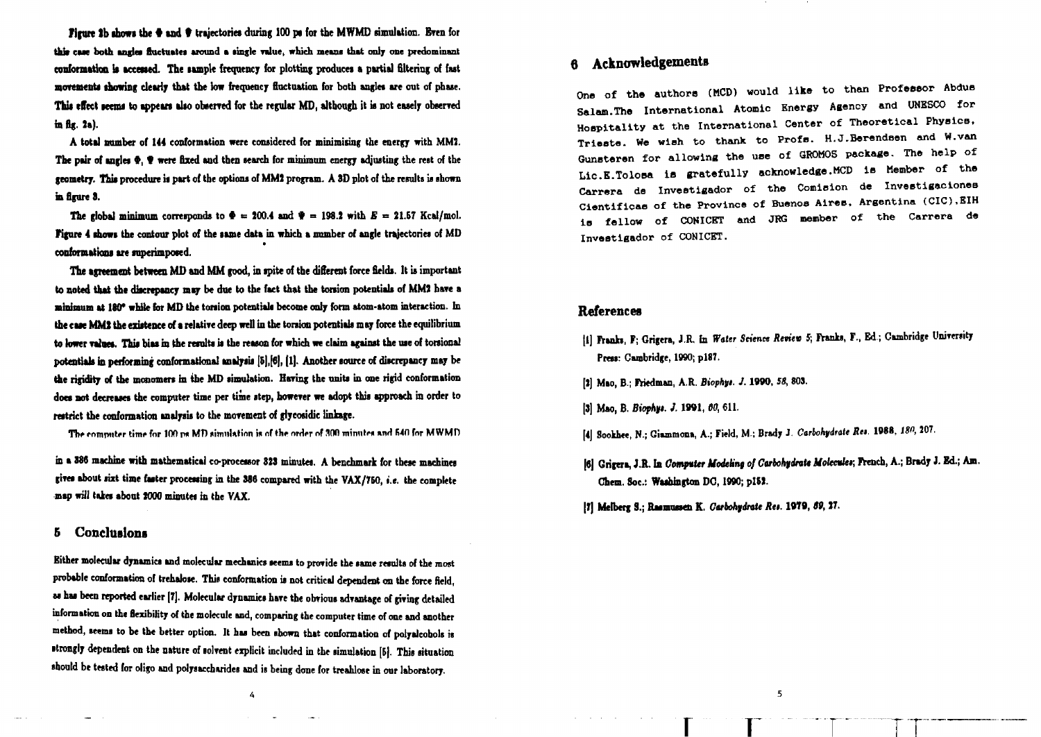Figure lb **showi** the **•** and **•** trajectories during 100 pi for the MWMD simulation. Even for this case both angles fluctuates around a single value, which means that only one predominant **conformation it accessed. The sample frequency for plotting producei a partis) filtering of fat movements showing dearly that the low frequency fluctuation for both angles are out of phaie.** This effect seems to appears also observed for the regular MD, although it is not easely observed **is fig. la).**

**A total number of 144 conformation were considered for minimising the energy with MM!.** The pair of angles  $\Phi$ ,  $\Psi$  were fixed and then search for minimum energy adjusting the rest of the geometry. This procedure is part of the options of MM2 program. A 3D plot of the results is shown **in figure 8.**

The global minimum corresponds to  $\Phi = 200.4$  and  $\Psi = 198.2$  with  $E = 21.57$  Kcal/mol. **Figure 4 shows the contour plot of the same data in which a number of angle trajectories of MD conformations are superimposed.**

**The agreement between MD and MM good, in ipite of the different force fields. It is important to noted that the discrepancy may be due to the faet that the torsion potentials of MM) hare a Btmimum at MO\* while lor MD the torsion potential! become only form atom-atom interaction. In** the case MM3 the existence of a relative deep well in the torsion potentials may force the equilibrium to lower values. This bias in the remits is the reason for which we claim against the use of torsional potentials in performing conformational analysis [5], [6], [1]. Another source of discrepancy may be the rigidity of the monomers in the MD simulation. Having the units in one rigid conformation **does not decreases the computer time per time step, howerer we adopt this approach in order to restrict the conformation analysis to the movement of glycosidic linkage.**

**The computer time for 100 pg MD simulation is of the order of 300 minutes and 540 for MWMD** 

in a 386 machine with mathematical co-processor 323 minutes. A benchmark for these machines **gives about sizt time faster processing in the 386 compared with the VAX/750,** *i.e.* **the complete map will takes about 1000 minutes in the VAX.**

### **5 Conclusions**

**Either molecular dynamics and molecular mechanics seems to provide the same results of the most probable conformation of trehalose. This conformation is not critical dependent on the force field, as has been reported earlier [7]. Molecular dynamics hare the obvious advantage of giving detailed information on the flexibility of the molecule and, comparing the computer time of one and another method, seems to be the better option. It has been shown that conformation of polyalcobols is strongly dependent on the nature of lolvent explicit included in the simulation [B|. This situation should be tested for oligo and polysacchnrides and is being done for treahlose in our laboratory.**

4

# **6 Acknowledgements**

**One of the authora (MOD) would like to than Profeaeor Abdua Salam.The International Atomic Energy Agency and UNESCO for Hospitality at the International Center of Theoretical PhyalcB, Trieete. We wioh to thank to Profs. H.J.Berendeen and W.van Gunsteren for allowing the use of QROMOS package. The help of Lic.E.Tolosa is gratefully acknowledge.MCD la Member of the Carrera de Inveetigador of the Comieion de Investigaeiones Cientificaa of the Province of Buenos Aires, Argentina (CIC).EIH ia fellow of CONICET and JBG member of the Carrera de Inveetigador of CONICET.**

### **References**

- **jl] franks, F; Grigera, J.R. En** *Water* **Science** *Rnitw* **5; Pranks, F., Ed.; Cambridge University Press: Cambridge, 1990; P187.**
- **[1] Mao, B.; Friedman, A.R.** *Biophfi. J.* **1TOO,** *58,* **SOS.**
- **[3] Mao, B.** *Biophyt. J.* **1W1, W, 611.**
- *\i\* **Sookhee, N.; Giunmona, A.; Field, M.; Brady J.** *Carbohydrate Ra.* **W88,** *IS",* **107.**
- **|6j Grigera, J.R. Ia** *CmfvUt UodeUnt of Ctrbokydntt Uokadtr,* **French, A.; Brady** *i.* **Ed.; Am. Chem. Soc: Washington DO, 1990; pISt.**
- **|Tj Melberg 3.; Rasmussen K.** *Garbohfinte Ru.* **10T9,** *68,* **27.**

5.

**r r <sup>T</sup> IT**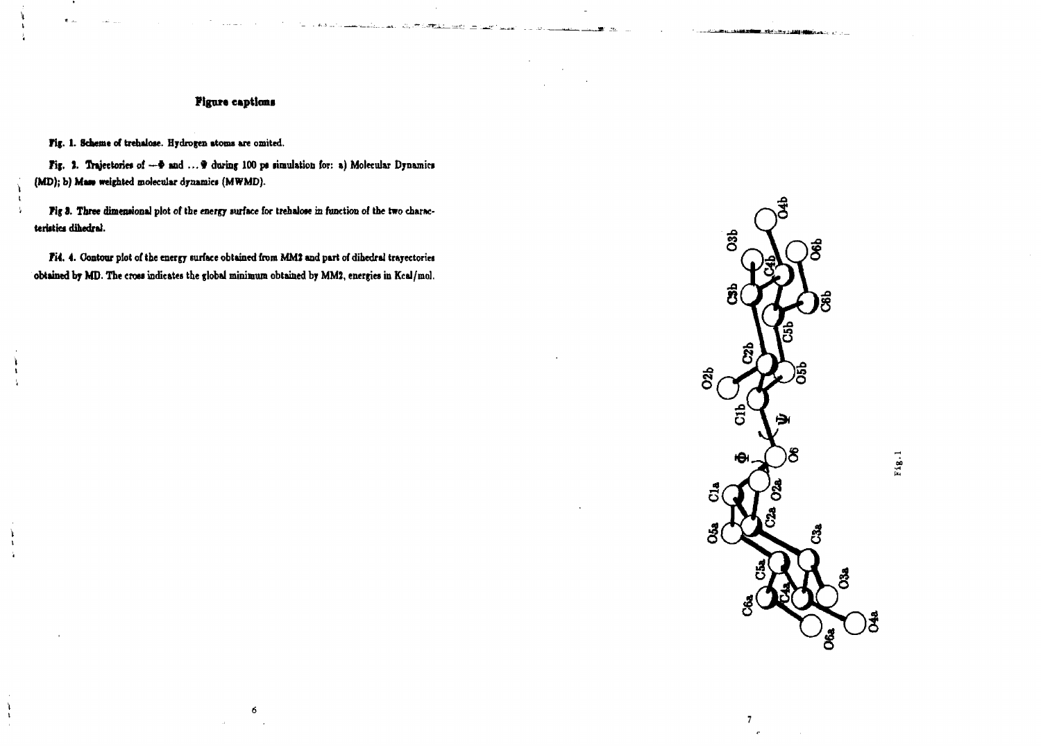## **Figure captions**

silah mula perb<del>er</del>ta<del>n</del>

Fig. 1. Scheme of trehalose. Hydrogen atoms are omited.

 $\mathbf{t}$ 

١Ì.

 $\mathbf{I}$ 

Fig. 3. Trajectories of --  $\Phi$  and ...  $\Psi$  during 100 ps simulation for: a) Molecular Dynamics (MD); b) Mass weighted molecular dynamics (MWMD).

Fig 3. Three dimensional plot of the energy surface for trehalose in function of the two characteristics dihedral.

Fi4. 4. Contour plot of the energy surface obtained from MM2 and part of dihedral trayectories obtained by MD. The cross indicates the global minimum obtained by MM2, energies in Kcal/mol.

6



 $\mathbf{7}$ 

The control of the second and continues when you are a substitute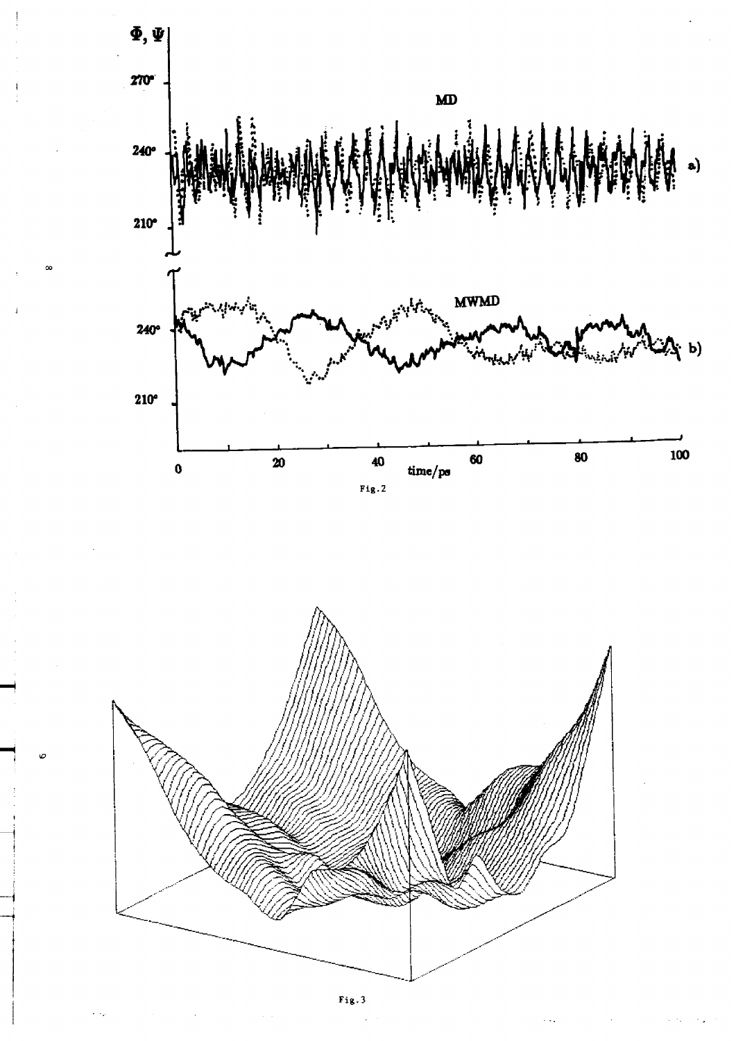

ł

İ